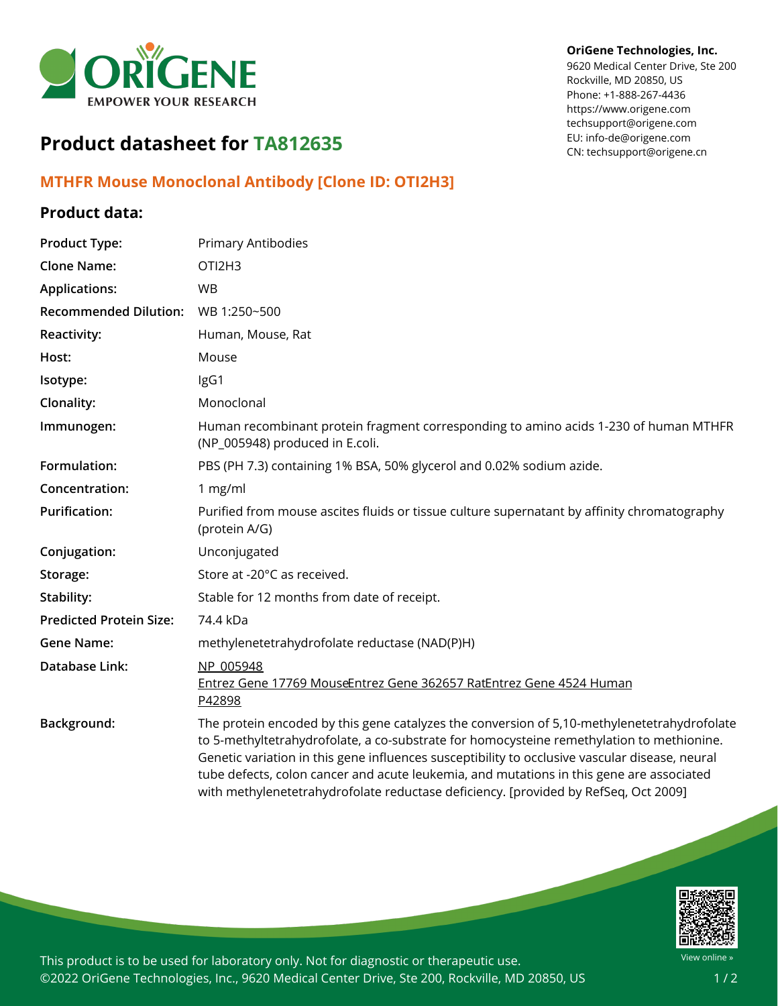

#### **OriGene Technologies, Inc.**

9620 Medical Center Drive, Ste 200 Rockville, MD 20850, US Phone: +1-888-267-4436 https://www.origene.com techsupport@origene.com EU: info-de@origene.com CN: techsupport@origene.cn

# **Product datasheet for TA812635**

## **MTHFR Mouse Monoclonal Antibody [Clone ID: OTI2H3]**

### **Product data:**

| <b>Product Type:</b>           | Primary Antibodies                                                                                                                                                                                                                                                                                                                                                                                                                                                            |
|--------------------------------|-------------------------------------------------------------------------------------------------------------------------------------------------------------------------------------------------------------------------------------------------------------------------------------------------------------------------------------------------------------------------------------------------------------------------------------------------------------------------------|
| <b>Clone Name:</b>             | OTI2H3                                                                                                                                                                                                                                                                                                                                                                                                                                                                        |
| <b>Applications:</b>           | <b>WB</b>                                                                                                                                                                                                                                                                                                                                                                                                                                                                     |
| <b>Recommended Dilution:</b>   | WB 1:250~500                                                                                                                                                                                                                                                                                                                                                                                                                                                                  |
| Reactivity:                    | Human, Mouse, Rat                                                                                                                                                                                                                                                                                                                                                                                                                                                             |
| Host:                          | Mouse                                                                                                                                                                                                                                                                                                                                                                                                                                                                         |
| Isotype:                       | IgG1                                                                                                                                                                                                                                                                                                                                                                                                                                                                          |
| Clonality:                     | Monoclonal                                                                                                                                                                                                                                                                                                                                                                                                                                                                    |
| Immunogen:                     | Human recombinant protein fragment corresponding to amino acids 1-230 of human MTHFR<br>(NP_005948) produced in E.coli.                                                                                                                                                                                                                                                                                                                                                       |
| Formulation:                   | PBS (PH 7.3) containing 1% BSA, 50% glycerol and 0.02% sodium azide.                                                                                                                                                                                                                                                                                                                                                                                                          |
| Concentration:                 | 1 $mg/ml$                                                                                                                                                                                                                                                                                                                                                                                                                                                                     |
| <b>Purification:</b>           | Purified from mouse ascites fluids or tissue culture supernatant by affinity chromatography<br>(protein A/G)                                                                                                                                                                                                                                                                                                                                                                  |
| Conjugation:                   | Unconjugated                                                                                                                                                                                                                                                                                                                                                                                                                                                                  |
| Storage:                       | Store at -20°C as received.                                                                                                                                                                                                                                                                                                                                                                                                                                                   |
| Stability:                     | Stable for 12 months from date of receipt.                                                                                                                                                                                                                                                                                                                                                                                                                                    |
| <b>Predicted Protein Size:</b> | 74.4 kDa                                                                                                                                                                                                                                                                                                                                                                                                                                                                      |
| <b>Gene Name:</b>              | methylenetetrahydrofolate reductase (NAD(P)H)                                                                                                                                                                                                                                                                                                                                                                                                                                 |
| Database Link:                 | NP 005948<br>Entrez Gene 17769 MouseEntrez Gene 362657 RatEntrez Gene 4524 Human<br>P42898                                                                                                                                                                                                                                                                                                                                                                                    |
| Background:                    | The protein encoded by this gene catalyzes the conversion of 5,10-methylenetetrahydrofolate<br>to 5-methyltetrahydrofolate, a co-substrate for homocysteine remethylation to methionine.<br>Genetic variation in this gene influences susceptibility to occlusive vascular disease, neural<br>tube defects, colon cancer and acute leukemia, and mutations in this gene are associated<br>with methylenetetrahydrofolate reductase deficiency. [provided by RefSeq, Oct 2009] |



This product is to be used for laboratory only. Not for diagnostic or therapeutic use. ©2022 OriGene Technologies, Inc., 9620 Medical Center Drive, Ste 200, Rockville, MD 20850, US